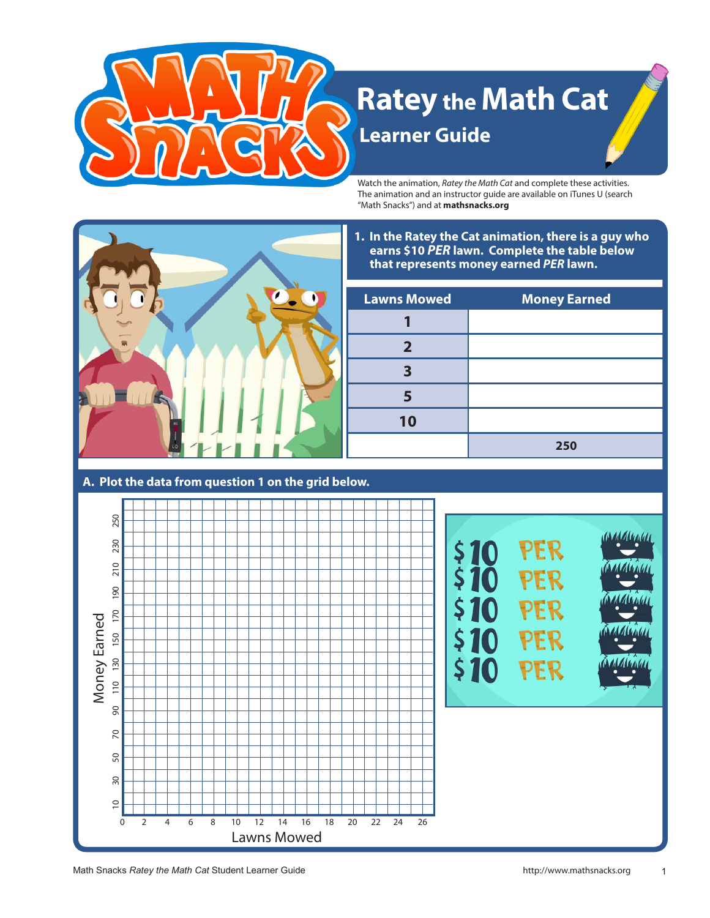

## **Learner Guide Ratey the Math Cat**

Watch the animation, *Ratey the Math Cat* and complete these activities. The animation and an instructor guide are available on iTunes U (search "Math Snacks") and at **mathsnacks.org**

**1. In the Ratey the Cat animation, there is a guy who earns \$10** *PER* **lawn. Complete the table below that represents money earned** *PER* **lawn.** 

| <b>Lawns Mowed</b> | <b>Money Earned</b> |
|--------------------|---------------------|
|                    |                     |
| $\overline{2}$     |                     |
|                    |                     |
| 5                  |                     |
| 10                 |                     |
|                    | 250                 |

## **A. Plot the data from question 1 on the grid below.**